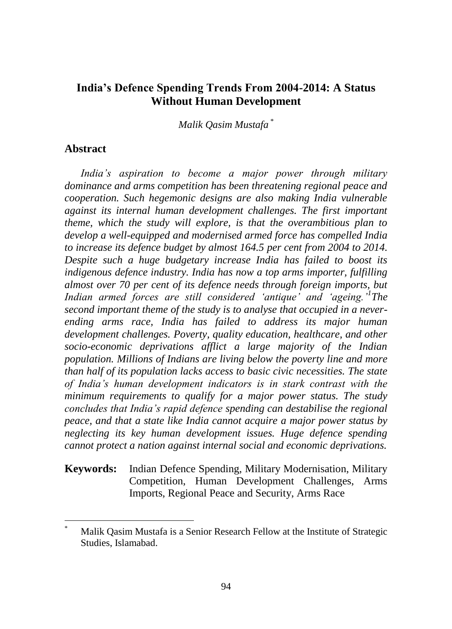*Malik Qasim Mustafa* \*

## **Abstract**

 $\overline{a}$ 

*India's aspiration to become a major power through military dominance and arms competition has been threatening regional peace and cooperation. Such hegemonic designs are also making India vulnerable against its internal human development challenges. The first important theme, which the study will explore, is that the overambitious plan to develop a well-equipped and modernised armed force has compelled India to increase its defence budget by almost 164.5 per cent from 2004 to 2014. Despite such a huge budgetary increase India has failed to boost its indigenous defence industry. India has now a top arms importer, fulfilling almost over 70 per cent of its defence needs through foreign imports, but Indian armed forces are still considered 'antique' and 'ageing.'<sup>1</sup> The second important theme of the study is to analyse that occupied in a neverending arms race, India has failed to address its major human development challenges. Poverty, quality education, healthcare, and other socio-economic deprivations afflict a large majority of the Indian population. Millions of Indians are living below the poverty line and more than half of its population lacks access to basic civic necessities. The state of India's human development indicators is in stark contrast with the minimum requirements to qualify for a major power status. The study concludes that India's rapid defence spending can destabilise the regional peace, and that a state like India cannot acquire a major power status by neglecting its key human development issues. Huge defence spending cannot protect a nation against internal social and economic deprivations.* 

## **Keywords:** Indian Defence Spending, Military Modernisation, Military Competition, Human Development Challenges, Arms Imports, Regional Peace and Security, Arms Race

Malik Qasim Mustafa is a Senior Research Fellow at the Institute of Strategic Studies, Islamabad.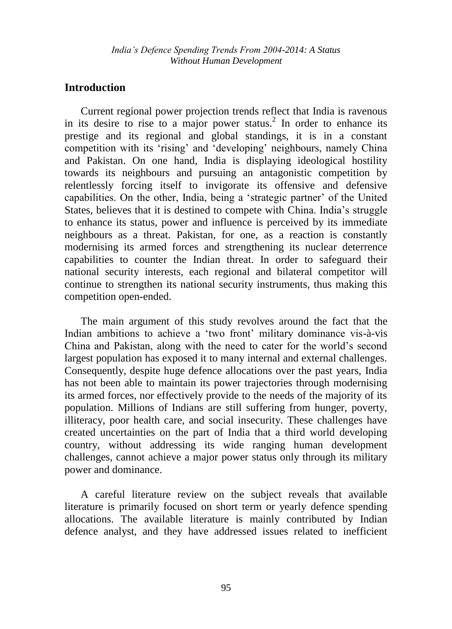# **Introduction**

Current regional power projection trends reflect that India is ravenous in its desire to rise to a major power status.<sup>2</sup> In order to enhance its prestige and its regional and global standings, it is in a constant competition with its "rising" and "developing" neighbours, namely China and Pakistan. On one hand, India is displaying ideological hostility towards its neighbours and pursuing an antagonistic competition by relentlessly forcing itself to invigorate its offensive and defensive capabilities. On the other, India, being a "strategic partner" of the United States, believes that it is destined to compete with China. India"s struggle to enhance its status, power and influence is perceived by its immediate neighbours as a threat. Pakistan, for one, as a reaction is constantly modernising its armed forces and strengthening its nuclear deterrence capabilities to counter the Indian threat. In order to safeguard their national security interests, each regional and bilateral competitor will continue to strengthen its national security instruments, thus making this competition open-ended.

The main argument of this study revolves around the fact that the Indian ambitions to achieve a "two front" military dominance vis-à-vis China and Pakistan, along with the need to cater for the world"s second largest population has exposed it to many internal and external challenges. Consequently, despite huge defence allocations over the past years, India has not been able to maintain its power trajectories through modernising its armed forces, nor effectively provide to the needs of the majority of its population. Millions of Indians are still suffering from hunger, poverty, illiteracy, poor health care, and social insecurity. These challenges have created uncertainties on the part of India that a third world developing country, without addressing its wide ranging human development challenges, cannot achieve a major power status only through its military power and dominance.

A careful literature review on the subject reveals that available literature is primarily focused on short term or yearly defence spending allocations. The available literature is mainly contributed by Indian defence analyst, and they have addressed issues related to inefficient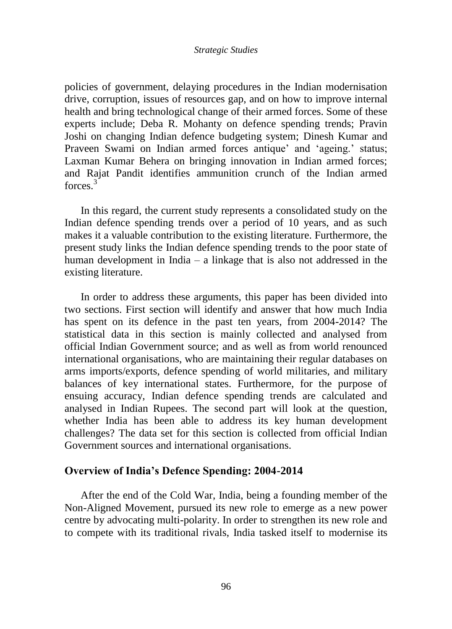policies of government, delaying procedures in the Indian modernisation drive, corruption, issues of resources gap, and on how to improve internal health and bring technological change of their armed forces. Some of these experts include; Deba R. Mohanty on defence spending trends; Pravin Joshi on changing Indian defence budgeting system; Dinesh Kumar and Praveen Swami on Indian armed forces antique' and 'ageing.' status; Laxman Kumar Behera on bringing innovation in Indian armed forces; and Rajat Pandit identifies ammunition crunch of the Indian armed forces.<sup>3</sup>

In this regard, the current study represents a consolidated study on the Indian defence spending trends over a period of 10 years, and as such makes it a valuable contribution to the existing literature. Furthermore, the present study links the Indian defence spending trends to the poor state of human development in India – a linkage that is also not addressed in the existing literature.

In order to address these arguments, this paper has been divided into two sections. First section will identify and answer that how much India has spent on its defence in the past ten years, from 2004-2014? The statistical data in this section is mainly collected and analysed from official Indian Government source; and as well as from world renounced international organisations, who are maintaining their regular databases on arms imports/exports, defence spending of world militaries, and military balances of key international states. Furthermore, for the purpose of ensuing accuracy, Indian defence spending trends are calculated and analysed in Indian Rupees. The second part will look at the question, whether India has been able to address its key human development challenges? The data set for this section is collected from official Indian Government sources and international organisations.

## **Overview of India's Defence Spending: 2004-2014**

After the end of the Cold War, India, being a founding member of the Non-Aligned Movement, pursued its new role to emerge as a new power centre by advocating multi-polarity. In order to strengthen its new role and to compete with its traditional rivals, India tasked itself to modernise its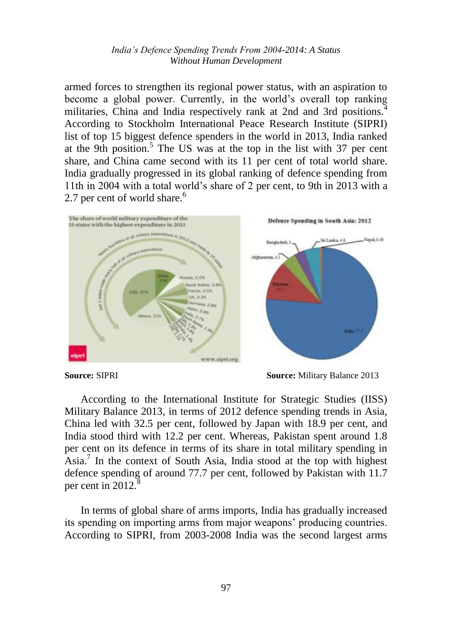armed forces to strengthen its regional power status, with an aspiration to become a global power. Currently, in the world"s overall top ranking militaries, China and India respectively rank at 2nd and 3rd positions.<sup>4</sup> According to Stockholm International Peace Research Institute (SIPRI) list of top 15 biggest defence spenders in the world in 2013, India ranked at the 9th position.<sup>5</sup> The US was at the top in the list with 37 per cent share, and China came second with its 11 per cent of total world share. India gradually progressed in its global ranking of defence spending from 11th in 2004 with a total world"s share of 2 per cent, to 9th in 2013 with a 2.7 per cent of world share.<sup>6</sup>



According to the International Institute for Strategic Studies (IISS) Military Balance 2013, in terms of 2012 defence spending trends in Asia, China led with 32.5 per cent, followed by Japan with 18.9 per cent, and India stood third with 12.2 per cent. Whereas, Pakistan spent around 1.8 per cent on its defence in terms of its share in total military spending in Asia.<sup>7</sup> In the context of South Asia, India stood at the top with highest defence spending of around 77.7 per cent, followed by Pakistan with 11.7 per cent in 2012. $^8$ 

In terms of global share of arms imports, India has gradually increased its spending on importing arms from major weapons" producing countries. According to SIPRI, from 2003-2008 India was the second largest arms

**Source:** SIPRI **Source:** Military Balance 2013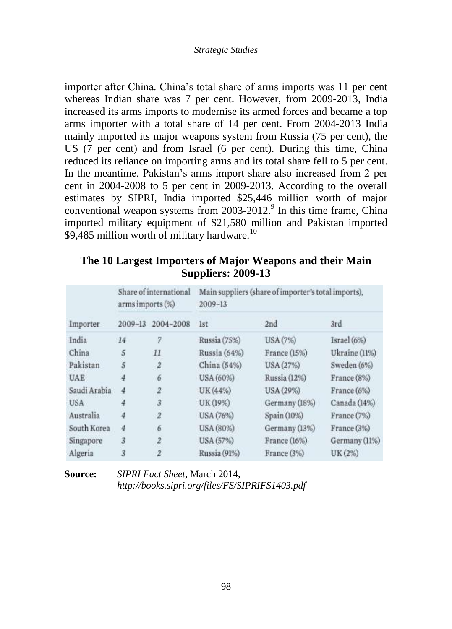importer after China. China"s total share of arms imports was 11 per cent whereas Indian share was 7 per cent. However, from 2009-2013, India increased its arms imports to modernise its armed forces and became a top arms importer with a total share of 14 per cent. From 2004-2013 India mainly imported its major weapons system from Russia (75 per cent), the US (7 per cent) and from Israel (6 per cent). During this time, China reduced its reliance on importing arms and its total share fell to 5 per cent. In the meantime, Pakistan's arms import share also increased from 2 per cent in 2004-2008 to 5 per cent in 2009-2013. According to the overall estimates by SIPRI, India imported \$25,446 million worth of major conventional weapon systems from 2003-2012.<sup>9</sup> In this time frame, China imported military equipment of \$21,580 million and Pakistan imported \$9,485 million worth of military hardware.<sup>10</sup>

| The 10 Largest Importers of Major Weapons and their Main |  |  |  |  |  |  |
|----------------------------------------------------------|--|--|--|--|--|--|
| <b>Suppliers: 2009-13</b>                                |  |  |  |  |  |  |

|              | arms imports (%) | Share of international | Main suppliers (share of importer's total imports),<br>2009-13 |               |               |  |
|--------------|------------------|------------------------|----------------------------------------------------------------|---------------|---------------|--|
| Importer     | 2009-13          | 2004-2008              | 1st                                                            | 2nd           | 3rd           |  |
| India        | 14               | 7                      | Russia (75%)                                                   | USA (7%)      | Israel (6%)   |  |
| China        | 5                | 11                     | Russia (64%)                                                   | France (15%)  | Ukraine (11%) |  |
| Pakistan     | 5                | $\overline{2}$         | China (54%)                                                    | USA (27%)     | Sweden (6%)   |  |
| <b>UAE</b>   |                  | 6                      | USA (60%)                                                      | Russia (12%)  | France (8%)   |  |
| Saudi Arabia | 4                | $\overline{z}$         | UK (44%)                                                       | USA (29%)     | France (6%)   |  |
| <b>USA</b>   | 4                | $\overline{3}$         | UK (19%)                                                       | Germany (18%) | Canada (14%)  |  |
| Australia    | 4                | $\overline{z}$         | USA (76%)                                                      | Spain (10%)   | France (7%)   |  |
| South Korea  | 4                | 6                      | USA (80%)                                                      | Germany (13%) | France (3%)   |  |
| Singapore    | $\overline{3}$   | $\overline{2}$         | USA (57%)                                                      | France (16%)  | Germany (11%) |  |
| Algeria      | 3                | $\overline{2}$         | Russia (91%)                                                   | France (3%)   | UK (2%)       |  |

**Source:** *SIPRI Fact Sheet,* March 2014, *http://books.sipri.org/files/FS/SIPRIFS1403.pdf*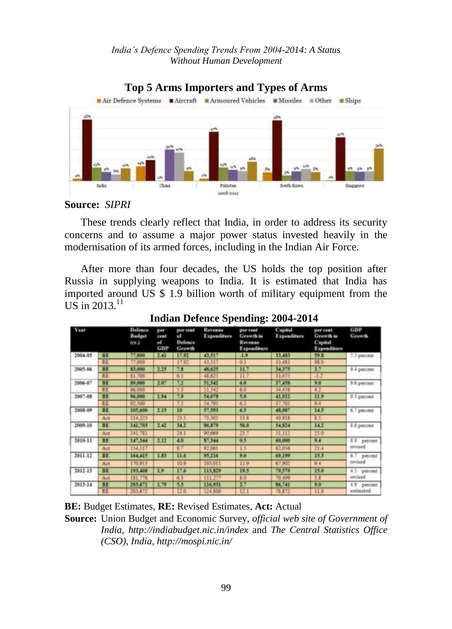

# **Source:** *SIPRI*

These trends clearly reflect that India, in order to address its security concerns and to assume a major power status invested heavily in the modernisation of its armed forces, including in the Indian Air Force.

After more than four decades, the US holds the top position after Russia in supplying weapons to India. It is estimated that India has imported around US \$ 1.9 billion worth of military equipment from the  $US$  in 2013. $^{11}$ 

| Year               |           | Defence<br><b>Budget</b><br>$(\epsilon r.)$ | per<br><b>cemt</b><br>af.<br>GDP | per cent<br>of.<br>Defence<br>Growth | Revenue<br>Expenditure | per cent<br><b>Grawth</b> in<br>Revenue<br>Expenditure | Capital<br>Expenditure | per cent<br>Growth in<br>Capital<br>Expenditure | GDP<br>Growth              |
|--------------------|-----------|---------------------------------------------|----------------------------------|--------------------------------------|------------------------|--------------------------------------------------------|------------------------|-------------------------------------------------|----------------------------|
| 2004-05            | ШΕ        | 77,000                                      | ш                                | <b>Finance</b>                       | 13.517                 | 1.9                                                    | 33,453                 | 59.3                                            | 7.5 percent                |
|                    | 肛         | 77,000                                      |                                  | 17.93                                | 43.517                 | O.                                                     | 33.483                 | 980                                             |                            |
| 2005-06            | <b>HE</b> | \$3,000                                     | 2.15                             | m                                    | 48.635                 | H.                                                     | 34375                  | 2.7                                             | 0.4 percent                |
|                    | 耳         | \$1,700                                     |                                  | 61                                   | 48.625                 | 11                                                     | 33.07                  | $-1/2$                                          |                            |
| BE<br>1006-07<br>肛 |           | 39,000                                      | 1.07                             | 73                                   | 51.542                 | 6.9                                                    | 37,455                 | 9.9                                             | 9.6 percent                |
|                    |           | 86,000                                      |                                  | ĸ                                    | 33.547                 | 60                                                     | 34,438                 | $+2$                                            |                            |
| BE<br>2007-08      |           | 96,000                                      | 1.94                             | 73                                   | 54.078                 | 5.0                                                    | 41,922                 | Ш                                               | 9.3 percent                |
|                    | 距         | 92 500                                      |                                  |                                      | 54,795                 | 63                                                     | 37,705                 | 9.4                                             |                            |
| 2005.09            | m         | 105,600                                     | 215                              | ю                                    | 57.593                 | <b>TES</b>                                             | 45,007                 | ш                                               | 6.7 percent                |
|                    | Art       | 114,223                                     |                                  | 23.5                                 | 73,305                 | 訂訂                                                     | 40,918                 | 85                                              |                            |
| 2009-10            | III       | 141,703                                     | 142                              | 34.2                                 | 56,579                 | 56.B                                                   | 54,834                 | ш                                               | 8.6 percent                |
|                    | Act       | 141,781                                     |                                  | 341                                  | 90,684                 | 28.7                                                   | 51,112                 | 150                                             |                            |
| 2010-11            | <b>BE</b> | 147,344                                     | 2.12                             | $\overline{10}$                      | \$7,344                | 0.5                                                    | 60,000                 | 9.1                                             | 1.9 percent<br>revised     |
|                    | Act       | 154.117                                     |                                  | к                                    | 92,061                 | 1.5                                                    | 62,056                 | 31.4                                            |                            |
| 2011-12            | <b>HE</b> | 164,415                                     | 1.53                             | Шđ                                   | 95.216                 | 9.0                                                    | 69,199                 | 153                                             | 6.7<br>percent             |
|                    | Act       | 170,913                                     |                                  | 109                                  | 103,011                | 11.9                                                   | 67,902                 | $9 - 1$                                         | revised                    |
| 2012-13            | ш         | 193,408                                     | 19                               | ш                                    | 113,829                | 19.5                                                   | 79,579                 | ш                                               | 4.5.<br>percent<br>revised |
|                    | Art       | 381.776                                     |                                  | 63                                   | 111,277                | <b>KO</b>                                              | 70,499                 | 38                                              |                            |
| $2013 - 14$        | <b>BE</b> | 203,672                                     | 1.79                             | 53                                   | 116,931                | 1.7                                                    | 56,741                 | 9.0                                             | 4.9<br>percent             |
|                    | <b>HE</b> | 103.673                                     |                                  | 170                                  | 34,800                 | 12.1                                                   |                        | 119                                             | estimated                  |

**Indian Defence Spending: 2004-2014**

**BE:** Budget Estimates, **RE:** Revised Estimates, **Act:** Actual

**Source:** Union Budget and Economic Survey, *official web site of Government of India, http://indiabudget.nic.in/index* and *The Central Statistics Office (CSO), India, http://mospi.nic.in/*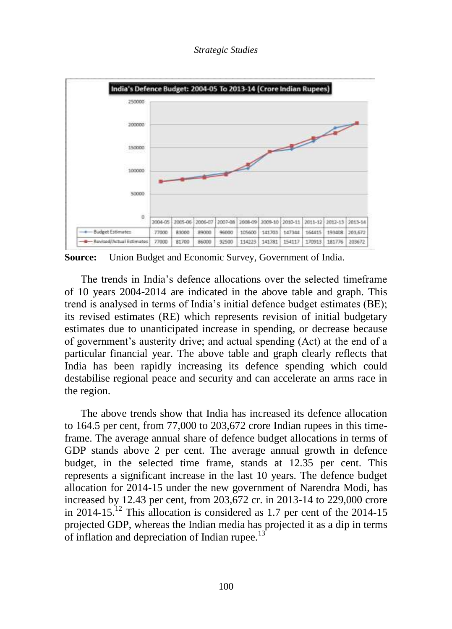*Strategic Studies* 



**Source:** Union Budget and Economic Survey, Government of India.

The trends in India"s defence allocations over the selected timeframe of 10 years 2004-2014 are indicated in the above table and graph. This trend is analysed in terms of India"s initial defence budget estimates (BE); its revised estimates (RE) which represents revision of initial budgetary estimates due to unanticipated increase in spending, or decrease because of government"s austerity drive; and actual spending (Act) at the end of a particular financial year. The above table and graph clearly reflects that India has been rapidly increasing its defence spending which could destabilise regional peace and security and can accelerate an arms race in the region.

The above trends show that India has increased its defence allocation to 164.5 per cent, from 77,000 to 203,672 crore Indian rupees in this timeframe. The average annual share of defence budget allocations in terms of GDP stands above 2 per cent. The average annual growth in defence budget, in the selected time frame, stands at 12.35 per cent. This represents a significant increase in the last 10 years. The defence budget allocation for 2014-15 under the new government of Narendra Modi, has increased by 12.43 per cent, from 203,672 cr. in 2013-14 to 229,000 crore in 2014-15.<sup>12</sup> This allocation is considered as 1.7 per cent of the 2014-15 projected GDP, whereas the Indian media has projected it as a dip in terms of inflation and depreciation of Indian rupee.<sup>13</sup>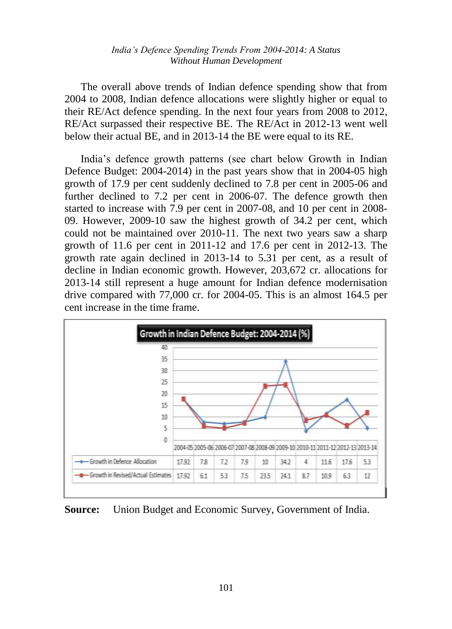The overall above trends of Indian defence spending show that from 2004 to 2008, Indian defence allocations were slightly higher or equal to their RE/Act defence spending. In the next four years from 2008 to 2012, RE/Act surpassed their respective BE. The RE/Act in 2012-13 went well below their actual BE, and in 2013-14 the BE were equal to its RE.

India"s defence growth patterns (see chart below Growth in Indian Defence Budget: 2004-2014) in the past years show that in 2004-05 high growth of 17.9 per cent suddenly declined to 7.8 per cent in 2005-06 and further declined to 7.2 per cent in 2006-07. The defence growth then started to increase with 7.9 per cent in 2007-08, and 10 per cent in 2008- 09. However, 2009-10 saw the highest growth of 34.2 per cent, which could not be maintained over 2010-11. The next two years saw a sharp growth of 11.6 per cent in 2011-12 and 17.6 per cent in 2012-13. The growth rate again declined in 2013-14 to 5.31 per cent, as a result of decline in Indian economic growth. However, 203,672 cr. allocations for 2013-14 still represent a huge amount for Indian defence modernisation drive compared with 77,000 cr. for 2004-05. This is an almost 164.5 per cent increase in the time frame.



**Source:** Union Budget and Economic Survey, Government of India.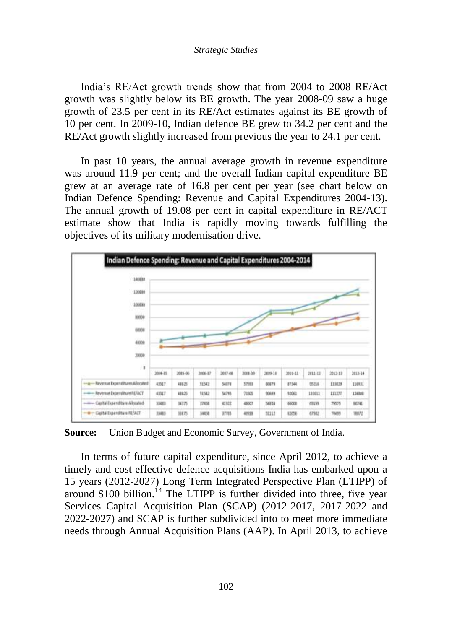India"s RE/Act growth trends show that from 2004 to 2008 RE/Act growth was slightly below its BE growth. The year 2008-09 saw a huge growth of 23.5 per cent in its RE/Act estimates against its BE growth of 10 per cent. In 2009-10, Indian defence BE grew to 34.2 per cent and the RE/Act growth slightly increased from previous the year to 24.1 per cent.

In past 10 years, the annual average growth in revenue expenditure was around 11.9 per cent; and the overall Indian capital expenditure BE grew at an average rate of 16.8 per cent per year (see chart below on Indian Defence Spending: Revenue and Capital Expenditures 2004-13). The annual growth of 19.08 per cent in capital expenditure in RE/ACT estimate show that India is rapidly moving towards fulfilling the objectives of its military modernisation drive.



**Source:** Union Budget and Economic Survey, Government of India.

In terms of future capital expenditure, since April 2012, to achieve a timely and cost effective defence acquisitions India has embarked upon a 15 years (2012-2027) Long Term Integrated Perspective Plan (LTIPP) of around  $$100$  billion.<sup>14</sup> The LTIPP is further divided into three, five year Services Capital Acquisition Plan (SCAP) (2012-2017, 2017-2022 and 2022-2027) and SCAP is further subdivided into to meet more immediate needs through Annual Acquisition Plans (AAP). In April 2013, to achieve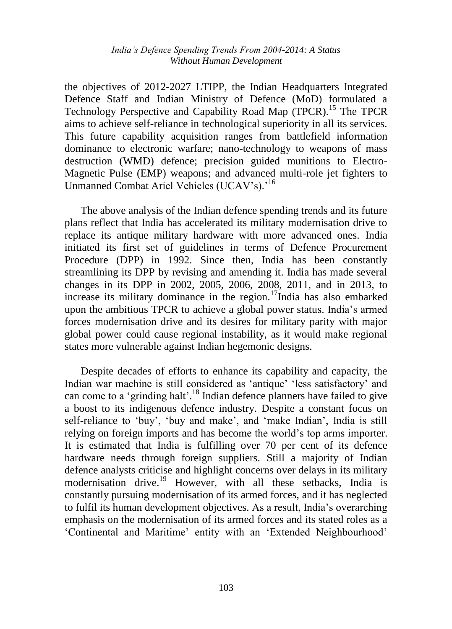the objectives of 2012-2027 LTIPP, the Indian Headquarters Integrated Defence Staff and Indian Ministry of Defence (MoD) formulated a Technology Perspective and Capability Road Map (TPCR).<sup>15</sup> The TPCR aims to achieve self-reliance in technological superiority in all its services. This future capability acquisition ranges from battlefield information dominance to electronic warfare; nano-technology to weapons of mass destruction (WMD) defence; precision guided munitions to Electro-Magnetic Pulse (EMP) weapons; and advanced multi-role jet fighters to Unmanned Combat Ariel Vehicles (UCAV's).<sup>'16</sup>

The above analysis of the Indian defence spending trends and its future plans reflect that India has accelerated its military modernisation drive to replace its antique military hardware with more advanced ones. India initiated its first set of guidelines in terms of Defence Procurement Procedure (DPP) in 1992. Since then, India has been constantly streamlining its DPP by revising and amending it. India has made several changes in its DPP in 2002, 2005, 2006, 2008, 2011, and in 2013, to increase its military dominance in the region.<sup>17</sup>India has also embarked upon the ambitious TPCR to achieve a global power status. India"s armed forces modernisation drive and its desires for military parity with major global power could cause regional instability, as it would make regional states more vulnerable against Indian hegemonic designs.

Despite decades of efforts to enhance its capability and capacity, the Indian war machine is still considered as "antique" "less satisfactory" and can come to a 'grinding halt'.<sup>18</sup> Indian defence planners have failed to give a boost to its indigenous defence industry. Despite a constant focus on self-reliance to 'buy', 'buy and make', and 'make Indian', India is still relying on foreign imports and has become the world"s top arms importer. It is estimated that India is fulfilling over 70 per cent of its defence hardware needs through foreign suppliers. Still a majority of Indian defence analysts criticise and highlight concerns over delays in its military modernisation drive.<sup>19</sup> However, with all these setbacks, India is constantly pursuing modernisation of its armed forces, and it has neglected to fulfil its human development objectives. As a result, India"s overarching emphasis on the modernisation of its armed forces and its stated roles as a 'Continental and Maritime' entity with an 'Extended Neighbourhood'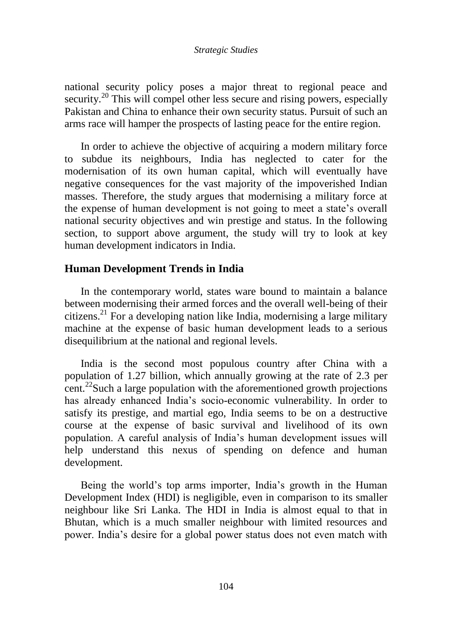national security policy poses a major threat to regional peace and security.<sup>20</sup> This will compel other less secure and rising powers, especially Pakistan and China to enhance their own security status. Pursuit of such an arms race will hamper the prospects of lasting peace for the entire region.

In order to achieve the objective of acquiring a modern military force to subdue its neighbours, India has neglected to cater for the modernisation of its own human capital, which will eventually have negative consequences for the vast majority of the impoverished Indian masses. Therefore, the study argues that modernising a military force at the expense of human development is not going to meet a state"s overall national security objectives and win prestige and status. In the following section, to support above argument, the study will try to look at key human development indicators in India.

## **Human Development Trends in India**

In the contemporary world, states ware bound to maintain a balance between modernising their armed forces and the overall well-being of their citizens.<sup>21</sup> For a developing nation like India, modernising a large military machine at the expense of basic human development leads to a serious disequilibrium at the national and regional levels.

India is the second most populous country after China with a population of 1.27 billion, which annually growing at the rate of 2.3 per cent.<sup>22</sup>Such a large population with the aforementioned growth projections has already enhanced India's socio-economic vulnerability. In order to satisfy its prestige, and martial ego, India seems to be on a destructive course at the expense of basic survival and livelihood of its own population. A careful analysis of India"s human development issues will help understand this nexus of spending on defence and human development.

Being the world's top arms importer, India's growth in the Human Development Index (HDI) is negligible, even in comparison to its smaller neighbour like Sri Lanka. The HDI in India is almost equal to that in Bhutan, which is a much smaller neighbour with limited resources and power. India"s desire for a global power status does not even match with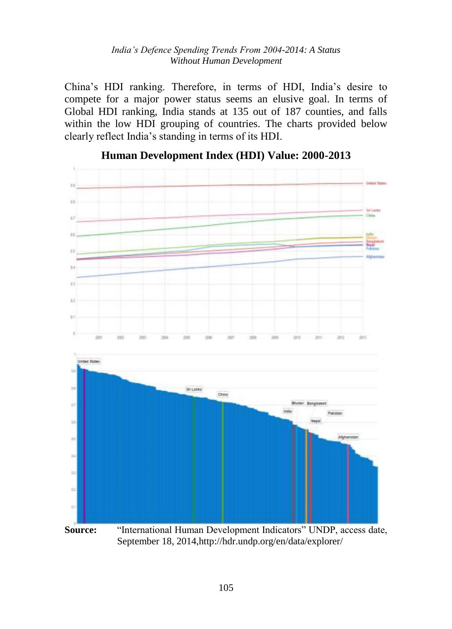China"s HDI ranking. Therefore, in terms of HDI, India"s desire to compete for a major power status seems an elusive goal. In terms of Global HDI ranking, India stands at 135 out of 187 counties, and falls within the low HDI grouping of countries. The charts provided below clearly reflect India"s standing in terms of its HDI.



**Human Development Index (HDI) Value: 2000-2013**

September 18, 2014,http://hdr.undp.org/en/data/explorer/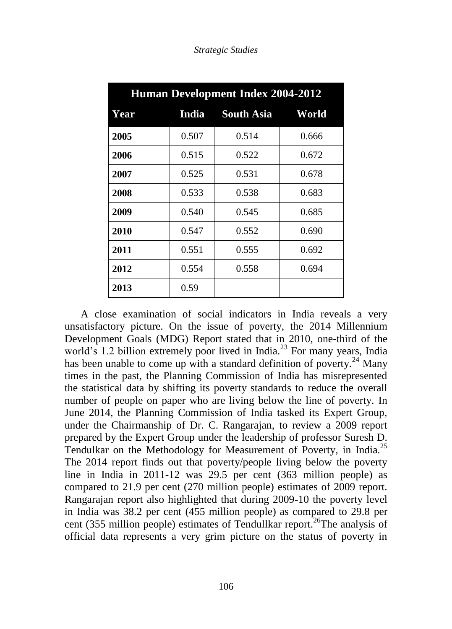| <b>Human Development Index 2004-2012</b> |       |                   |       |  |  |  |  |
|------------------------------------------|-------|-------------------|-------|--|--|--|--|
| Year                                     | India | <b>South Asia</b> | World |  |  |  |  |
| 2005                                     | 0.507 | 0.514             | 0.666 |  |  |  |  |
| 2006                                     | 0.515 | 0.522             | 0.672 |  |  |  |  |
| 2007                                     | 0.525 | 0.531             | 0.678 |  |  |  |  |
| 2008                                     | 0.533 | 0.538             | 0.683 |  |  |  |  |
| 2009                                     | 0.540 | 0.545             | 0.685 |  |  |  |  |
| 2010                                     | 0.547 | 0.552             | 0.690 |  |  |  |  |
| 2011                                     | 0.551 | 0.555             | 0.692 |  |  |  |  |
| 2012                                     | 0.554 | 0.558             | 0.694 |  |  |  |  |
| 2013                                     | 0.59  |                   |       |  |  |  |  |

*Strategic Studies* 

A close examination of social indicators in India reveals a very unsatisfactory picture. On the issue of poverty, the 2014 Millennium Development Goals (MDG) Report stated that in 2010, one-third of the world's 1.2 billion extremely poor lived in India.<sup>23</sup> For many years, India has been unable to come up with a standard definition of poverty.<sup>24</sup> Many times in the past, the Planning Commission of India has misrepresented the statistical data by shifting its poverty standards to reduce the overall number of people on paper who are living below the line of poverty. In June 2014, the Planning Commission of India tasked its Expert Group, under the Chairmanship of Dr. C. Rangarajan, to review a 2009 report prepared by the Expert Group under the leadership of professor Suresh D. Tendulkar on the Methodology for Measurement of Poverty, in India.<sup>25</sup> The 2014 report finds out that poverty/people living below the poverty line in India in 2011-12 was 29.5 per cent (363 million people) as compared to 21.9 per cent (270 million people) estimates of 2009 report. Rangarajan report also highlighted that during 2009-10 the poverty level in India was 38.2 per cent (455 million people) as compared to 29.8 per cent (355 million people) estimates of Tendullkar report.<sup>26</sup>The analysis of official data represents a very grim picture on the status of poverty in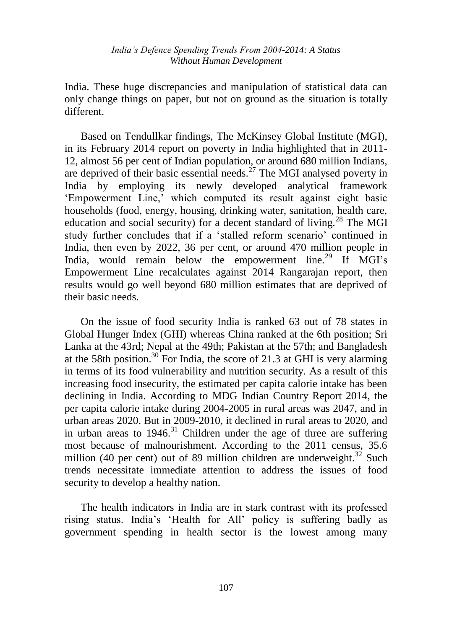India. These huge discrepancies and manipulation of statistical data can only change things on paper, but not on ground as the situation is totally different.

Based on Tendullkar findings, The McKinsey Global Institute (MGI), in its February 2014 report on poverty in India highlighted that in 2011- 12, almost 56 per cent of Indian population, or around 680 million Indians, are deprived of their basic essential needs. $^{27}$  The MGI analysed poverty in India by employing its newly developed analytical framework "Empowerment Line," which computed its result against eight basic households (food, energy, housing, drinking water, sanitation, health care, education and social security) for a decent standard of living.<sup>28</sup> The MGI study further concludes that if a "stalled reform scenario" continued in India, then even by 2022, 36 per cent, or around 470 million people in India, would remain below the empowerment line.<sup>29</sup> If MGI's Empowerment Line recalculates against 2014 Rangarajan report, then results would go well beyond 680 million estimates that are deprived of their basic needs.

On the issue of food security India is ranked 63 out of 78 states in Global Hunger Index (GHI) whereas China ranked at the 6th position; Sri Lanka at the 43rd; Nepal at the 49th; Pakistan at the 57th; and Bangladesh at the 58th position.<sup>30</sup> For India, the score of 21.3 at GHI is very alarming in terms of its food vulnerability and nutrition security. As a result of this increasing food insecurity, the estimated per capita calorie intake has been declining in India. According to MDG Indian Country Report 2014, the per capita calorie intake during 2004-2005 in rural areas was 2047, and in urban areas 2020. But in 2009-2010, it declined in rural areas to 2020, and in urban areas to  $1946<sup>31</sup>$  Children under the age of three are suffering most because of malnourishment. According to the 2011 census, 35.6 million (40 per cent) out of 89 million children are underweight.<sup>32</sup> Such trends necessitate immediate attention to address the issues of food security to develop a healthy nation.

The health indicators in India are in stark contrast with its professed rising status. India"s "Health for All" policy is suffering badly as government spending in health sector is the lowest among many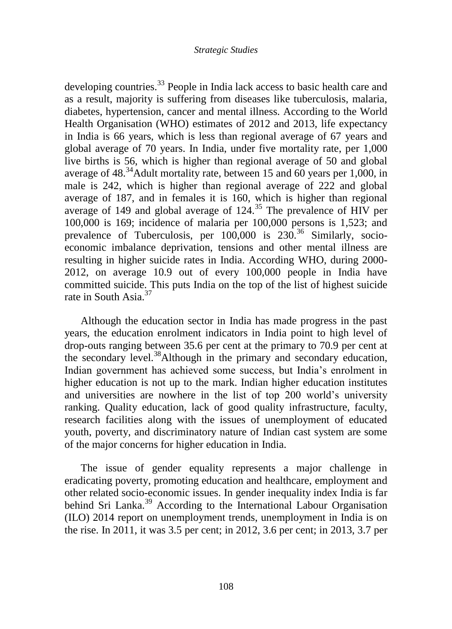developing countries.<sup>33</sup> People in India lack access to basic health care and as a result, majority is suffering from diseases like tuberculosis, malaria, diabetes, hypertension, cancer and mental illness. According to the World Health Organisation (WHO) estimates of 2012 and 2013, life expectancy in India is 66 years, which is less than regional average of 67 years and global average of 70 years. In India, under five mortality rate, per 1,000 live births is 56, which is higher than regional average of 50 and global average of  $48.^{34}$ Adult mortality rate, between 15 and 60 years per 1,000, in male is 242, which is higher than regional average of 222 and global average of 187, and in females it is 160, which is higher than regional average of 149 and global average of  $124<sup>35</sup>$ . The prevalence of HIV per 100,000 is 169; incidence of malaria per 100,000 persons is 1,523; and prevalence of Tuberculosis, per  $100,000$  is  $230$ .<sup>36</sup> Similarly, socioeconomic imbalance deprivation, tensions and other mental illness are resulting in higher suicide rates in India. According WHO, during 2000- 2012, on average 10.9 out of every 100,000 people in India have committed suicide. This puts India on the top of the list of highest suicide rate in South Asia.<sup>37</sup>

Although the education sector in India has made progress in the past years, the education enrolment indicators in India point to high level of drop-outs ranging between 35.6 per cent at the primary to 70.9 per cent at the secondary level.<sup>38</sup>Although in the primary and secondary education, Indian government has achieved some success, but India"s enrolment in higher education is not up to the mark. Indian higher education institutes and universities are nowhere in the list of top 200 world"s university ranking. Quality education, lack of good quality infrastructure, faculty, research facilities along with the issues of unemployment of educated youth, poverty, and discriminatory nature of Indian cast system are some of the major concerns for higher education in India.

The issue of gender equality represents a major challenge in eradicating poverty, promoting education and healthcare, employment and other related socio-economic issues. In gender inequality index India is far behind Sri Lanka.<sup>39</sup> According to the International Labour Organisation (ILO) 2014 report on unemployment trends, unemployment in India is on the rise. In 2011, it was 3.5 per cent; in 2012, 3.6 per cent; in 2013, 3.7 per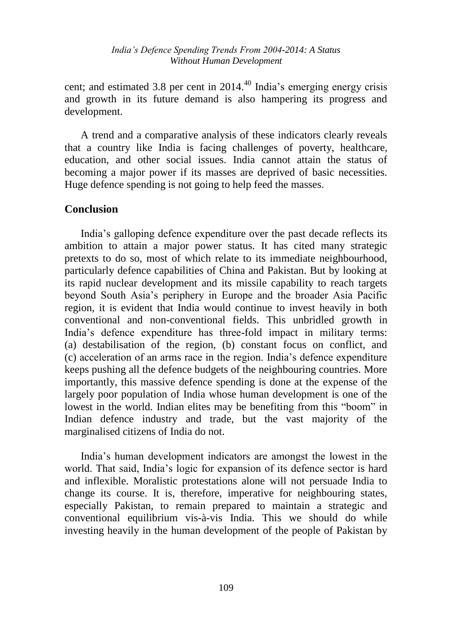cent; and estimated 3.8 per cent in  $2014<sup>40</sup>$  India's emerging energy crisis and growth in its future demand is also hampering its progress and development.

A trend and a comparative analysis of these indicators clearly reveals that a country like India is facing challenges of poverty, healthcare, education, and other social issues. India cannot attain the status of becoming a major power if its masses are deprived of basic necessities. Huge defence spending is not going to help feed the masses.

# **Conclusion**

India"s galloping defence expenditure over the past decade reflects its ambition to attain a major power status. It has cited many strategic pretexts to do so, most of which relate to its immediate neighbourhood, particularly defence capabilities of China and Pakistan. But by looking at its rapid nuclear development and its missile capability to reach targets beyond South Asia"s periphery in Europe and the broader Asia Pacific region, it is evident that India would continue to invest heavily in both conventional and non-conventional fields. This unbridled growth in India"s defence expenditure has three-fold impact in military terms: (a) destabilisation of the region, (b) constant focus on conflict, and (c) acceleration of an arms race in the region. India"s defence expenditure keeps pushing all the defence budgets of the neighbouring countries. More importantly, this massive defence spending is done at the expense of the largely poor population of India whose human development is one of the lowest in the world. Indian elites may be benefiting from this "boom" in Indian defence industry and trade, but the vast majority of the marginalised citizens of India do not.

India"s human development indicators are amongst the lowest in the world. That said, India"s logic for expansion of its defence sector is hard and inflexible. Moralistic protestations alone will not persuade India to change its course. It is, therefore, imperative for neighbouring states, especially Pakistan, to remain prepared to maintain a strategic and conventional equilibrium vis-à-vis India. This we should do while investing heavily in the human development of the people of Pakistan by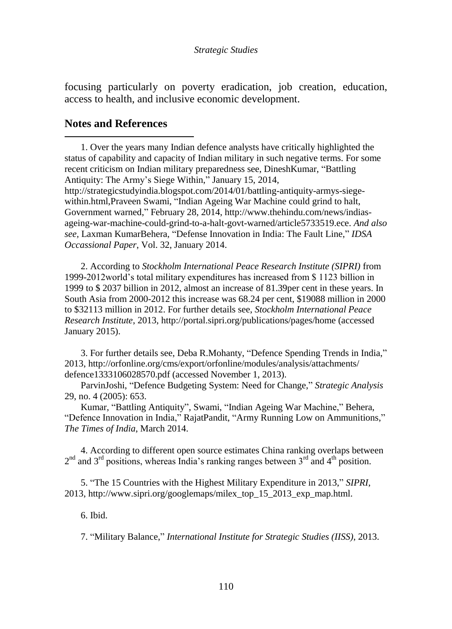focusing particularly on poverty eradication, job creation, education, access to health, and inclusive economic development.

## **Notes and References**

 $\overline{a}$ 

1. Over the years many Indian defence analysts have critically highlighted the status of capability and capacity of Indian military in such negative terms. For some recent criticism on Indian military preparedness see, DineshKumar, "Battling Antiquity: The Army's Siege Within," January 15, 2014,

http://strategicstudyindia.blogspot.com/2014/01/battling-antiquity-armys-siegewithin.html, Praveen Swami, "Indian Ageing War Machine could grind to halt, Government warned," February 28, 2014, http://www.thehindu.com/news/indiasageing-war-machine-could-grind-to-a-halt-govt-warned/article5733519.ece. *And also see,* Laxman KumarBehera, "Defense Innovation in India: The Fault Line," *IDSA Occassional Paper*, Vol. 32, January 2014.

2. According to *Stockholm International Peace Research Institute (SIPRI)* from 1999-2012world"s total military expenditures has increased from \$ 1123 billion in 1999 to \$ 2037 billion in 2012, almost an increase of 81.39per cent in these years. In South Asia from 2000-2012 this increase was 68.24 per cent, \$19088 million in 2000 to \$32113 million in 2012. For further details see, *Stockholm International Peace Research Institute*, 2013, http://portal.sipri.org/publications/pages/home (accessed January 2015).

3. For further details see, Deba R.Mohanty, "Defence Spending Trends in India," 2013, http://orfonline.org/cms/export/orfonline/modules/analysis/attachments/ defence1333106028570.pdf (accessed November 1, 2013).

ParvinJoshi, "Defence Budgeting System: Need for Change," *Strategic Analysis* 29, no. 4 (2005): 653.

Kumar, "Battling Antiquity", Swami, "Indian Ageing War Machine," Behera, "Defence Innovation in India," RajatPandit, "Army Running Low on Ammunitions," *The Times of India*, March 2014.

4. According to different open source estimates China ranking overlaps between  $2<sup>nd</sup>$  and  $3<sup>rd</sup>$  positions, whereas India's ranking ranges between  $3<sup>rd</sup>$  and  $4<sup>th</sup>$  position.

5. "The 15 Countries with the Highest Military Expenditure in 2013," *SIPRI*, 2013, http://www.sipri.org/googlemaps/milex\_top\_15\_2013\_exp\_map.html.

6. Ibid.

7. "Military Balance," *International Institute for Strategic Studies (IISS)*, 2013.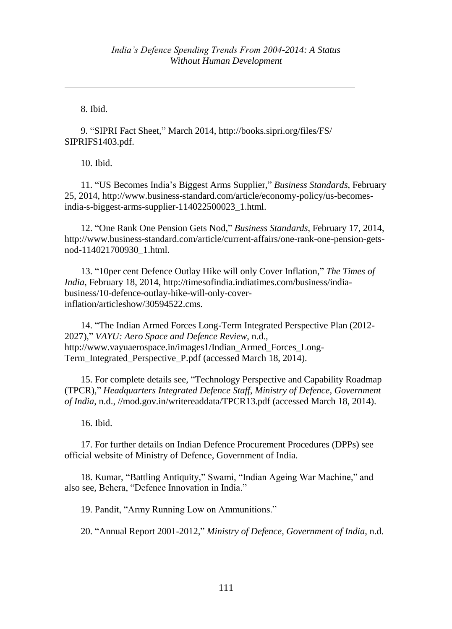8. Ibid.

 $\overline{a}$ 

9. "SIPRI Fact Sheet," March 2014, http://books.sipri.org/files/FS/ SIPRIFS1403.pdf.

10. Ibid.

11. "US Becomes India"s Biggest Arms Supplier," *Business Standards*, February 25, 2014, http://www.business-standard.com/article/economy-policy/us-becomesindia-s-biggest-arms-supplier-114022500023\_1.html.

12. "One Rank One Pension Gets Nod," *Business Standards*, February 17, 2014, http://www.business-standard.com/article/current-affairs/one-rank-one-pension-getsnod-114021700930\_1.html.

13. "10per cent Defence Outlay Hike will only Cover Inflation," *The Times of India*, February 18, 2014, http://timesofindia.indiatimes.com/business/indiabusiness/10-defence-outlay-hike-will-only-coverinflation/articleshow/30594522.cms.

14. "The Indian Armed Forces Long-Term Integrated Perspective Plan (2012- 2027)," *VAYU: Aero Space and Defence Review*, n.d., http://www.vayuaerospace.in/images1/Indian\_Armed\_Forces\_Long-Term\_Integrated\_Perspective\_P.pdf (accessed March 18, 2014).

15. For complete details see, "Technology Perspective and Capability Roadmap (TPCR)," *Headquarters Integrated Defence Staff*, *Ministry of Defence*, *Government of India*, n.d., //mod.gov.in/writereaddata/TPCR13.pdf (accessed March 18, 2014).

16. Ibid.

17. For further details on Indian Defence Procurement Procedures (DPPs) see official website of Ministry of Defence, Government of India.

18. Kumar, "Battling Antiquity," Swami, "Indian Ageing War Machine," and also see*,* Behera, "Defence Innovation in India."

19. Pandit, "Army Running Low on Ammunitions."

20. "Annual Report 2001-2012," *Ministry of Defence, Government of India*, n.d.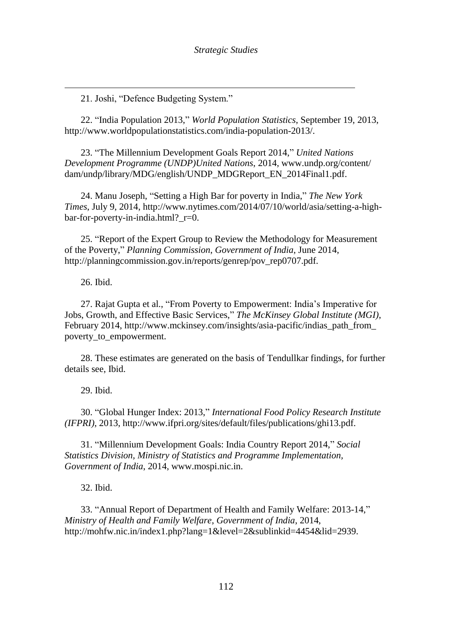21. Joshi, "Defence Budgeting System."

22. "India Population 2013," *World Population Statistics*, September 19, 2013, http://www.worldpopulationstatistics.com/india-population-2013/.

23. "The Millennium Development Goals Report 2014," *United Nations Development Programme (UNDP)United Nations*, 2014, www.undp.org/content/ dam/undp/library/MDG/english/UNDP\_MDGReport\_EN\_2014Final1.pdf.

24. Manu Joseph, "Setting a High Bar for poverty in India," *The New York Times*, July 9, 2014, http://www.nytimes.com/2014/07/10/world/asia/setting-a-highbar-for-poverty-in-india.html? r=0.

25. "Report of the Expert Group to Review the Methodology for Measurement of the Poverty," *Planning Commission*, *Government of India*, June 2014, http://planningcommission.gov.in/reports/genrep/pov\_rep0707.pdf.

26. Ibid.

 $\overline{a}$ 

27. Rajat Gupta et al., "From Poverty to Empowerment: India"s Imperative for Jobs, Growth, and Effective Basic Services," *The McKinsey Global Institute (MGI)*, February 2014, http://www.mckinsey.com/insights/asia-pacific/indias\_path\_from poverty\_to\_empowerment.

28. These estimates are generated on the basis of Tendullkar findings, for further details see, Ibid.

29. Ibid.

30. "Global Hunger Index: 2013," *International Food Policy Research Institute (IFPRI)*, 2013, http://www.ifpri.org/sites/default/files/publications/ghi13.pdf.

31. "Millennium Development Goals: India Country Report 2014," *Social Statistics Division, Ministry of Statistics and Programme Implementation, Government of India*, 2014, www.mospi.nic.in.

32. Ibid.

33. "Annual Report of Department of Health and Family Welfare: 2013-14," *Ministry of Health and Family Welfare*, *Government of India*, 2014, http://mohfw.nic.in/index1.php?lang=1&level=2&sublinkid=4454&lid=2939.